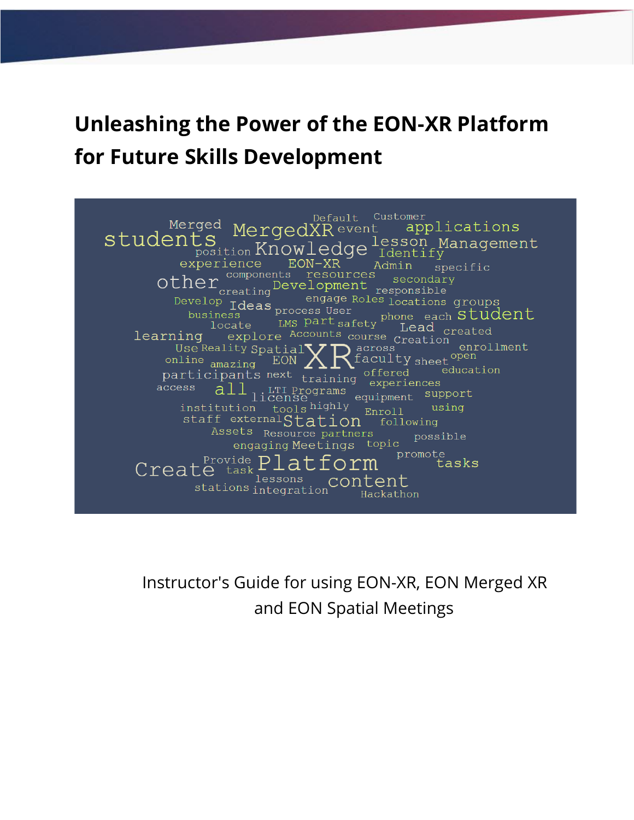## **Unleashing the Power of the EON-XR Platform for Future Skills Development**

Default Customer Merged MergedXR event applications students ts nurror lesson Management experience EON-XR Admin specific Other components resources secondar secondary engage Roles locations groups Develop Ideas<br>business business business <sup>15</sup> process User<br>
LMS part safety phone each **Student** Lead  $_{\text{created}}$ locate explore Accounts course Lead c learning Use Reality Spatial<br>Use Reality Spatial<br>pline Recourse Creation<br>Records entry sheet open enrollment online  $_{\text{amazing}}$  EON  $\angle$  $\text{participants next training of } \in \text{Borems}$ education access license equipment support institution tools highly using Enroll staff externalStation following Assets Resource partners possible engaging Meetings topic promote<br>tasks  $P_{\text{to}}^{\text{provide}}$  $P1a$ orm Create task lessons content stations integration Hackathon

Instructor's Guide for using EON-XR, EON Merged XR and EON Spatial Meetings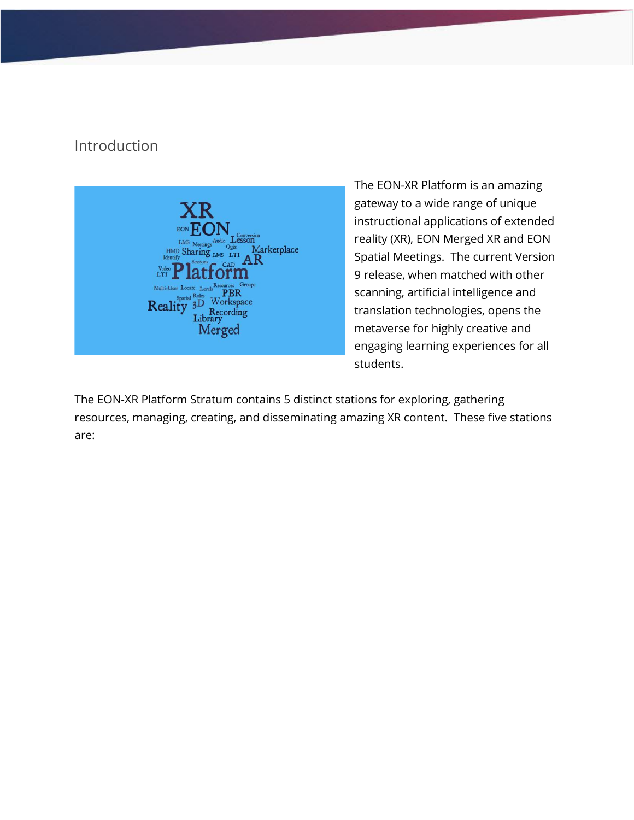### Introduction



The EON-XR Platform is an amazing gateway to a wide range of unique instructional applications of extended reality (XR), EON Merged XR and EON Spatial Meetings. The current Version 9 release, when matched with other scanning, artificial intelligence and translation technologies, opens the metaverse for highly creative and engaging learning experiences for all students.

The EON-XR Platform Stratum contains 5 distinct stations for exploring, gathering resources, managing, creating, and disseminating amazing XR content. These five stations are: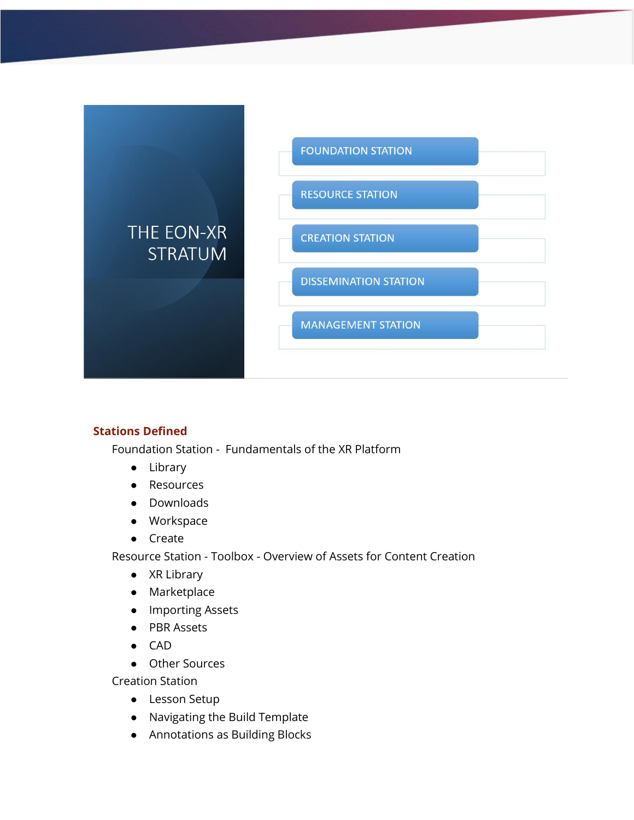

#### **Stations Defined**

Foundation Station - Fundamentals of the XR Platform

- Library
- Resources
- Downloads
- Workspace
- Create

Resource Station - Toolbox - Overview of Assets for Content Creation

- XR Library
- Marketplace
- Importing Assets
- PBR Assets
- CAD
- Other Sources

Creation Station

- Lesson Setup
- Navigating the Build Template
- Annotations as Building Blocks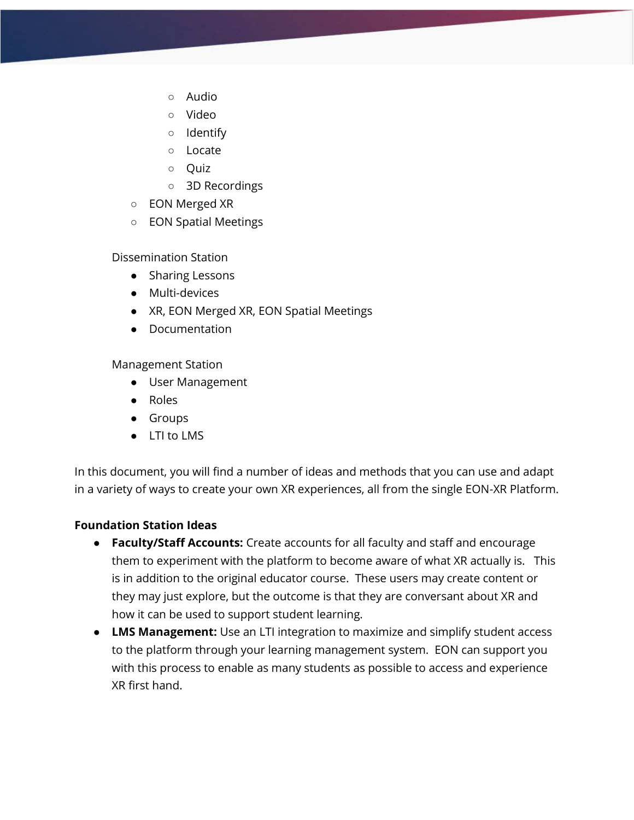- Audio
- Video
- Identify
- Locate
- Quiz
- 3D Recordings
- EON Merged XR
- EON Spatial Meetings

Dissemination Station

- Sharing Lessons
- Multi-devices
- XR, EON Merged XR, EON Spatial Meetings
- Documentation

Management Station

- User Management
- Roles
- Groups
- LTI to LMS

In this document, you will find a number of ideas and methods that you can use and adapt in a variety of ways to create your own XR experiences, all from the single EON-XR Platform.

#### **Foundation Station Ideas**

- **Faculty/Staff Accounts:** Create accounts for all faculty and staff and encourage them to experiment with the platform to become aware of what XR actually is. This is in addition to the original educator course. These users may create content or they may just explore, but the outcome is that they are conversant about XR and how it can be used to support student learning.
- **LMS Management:** Use an LTI integration to maximize and simplify student access to the platform through your learning management system. EON can support you with this process to enable as many students as possible to access and experience XR first hand.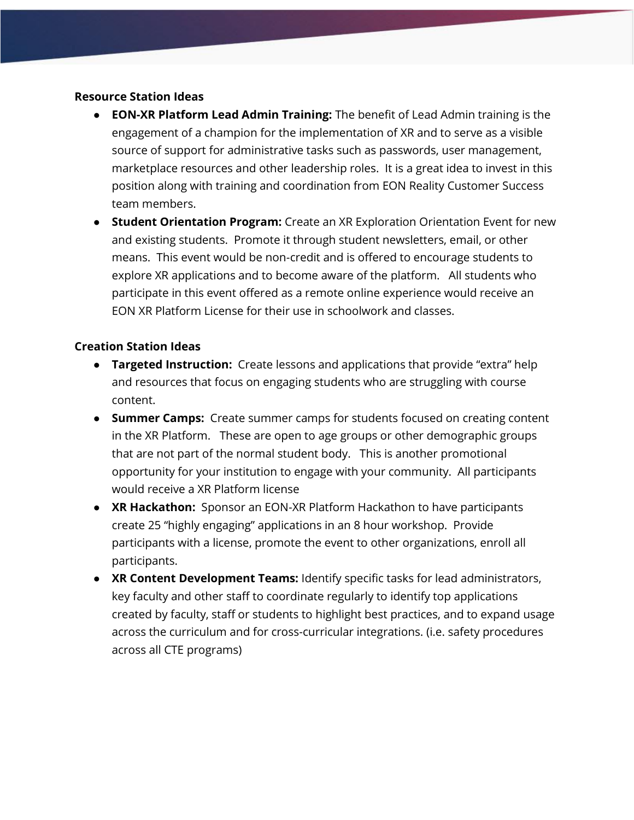#### **Resource Station Ideas**

- **EON-XR Platform Lead Admin Training:** The benefit of Lead Admin training is the engagement of a champion for the implementation of XR and to serve as a visible source of support for administrative tasks such as passwords, user management, marketplace resources and other leadership roles. It is a great idea to invest in this position along with training and coordination from EON Reality Customer Success team members.
- **Student Orientation Program:** Create an XR Exploration Orientation Event for new and existing students. Promote it through student newsletters, email, or other means. This event would be non-credit and is offered to encourage students to explore XR applications and to become aware of the platform. All students who participate in this event offered as a remote online experience would receive an EON XR Platform License for their use in schoolwork and classes.

#### **Creation Station Ideas**

- **Targeted Instruction:** Create lessons and applications that provide "extra" help and resources that focus on engaging students who are struggling with course content.
- **Summer Camps:** Create summer camps for students focused on creating content in the XR Platform. These are open to age groups or other demographic groups that are not part of the normal student body. This is another promotional opportunity for your institution to engage with your community. All participants would receive a XR Platform license
- **XR Hackathon:** Sponsor an EON-XR Platform Hackathon to have participants create 25 "highly engaging" applications in an 8 hour workshop. Provide participants with a license, promote the event to other organizations, enroll all participants.
- **XR Content Development Teams:** Identify specific tasks for lead administrators, key faculty and other staff to coordinate regularly to identify top applications created by faculty, staff or students to highlight best practices, and to expand usage across the curriculum and for cross-curricular integrations. (i.e. safety procedures across all CTE programs)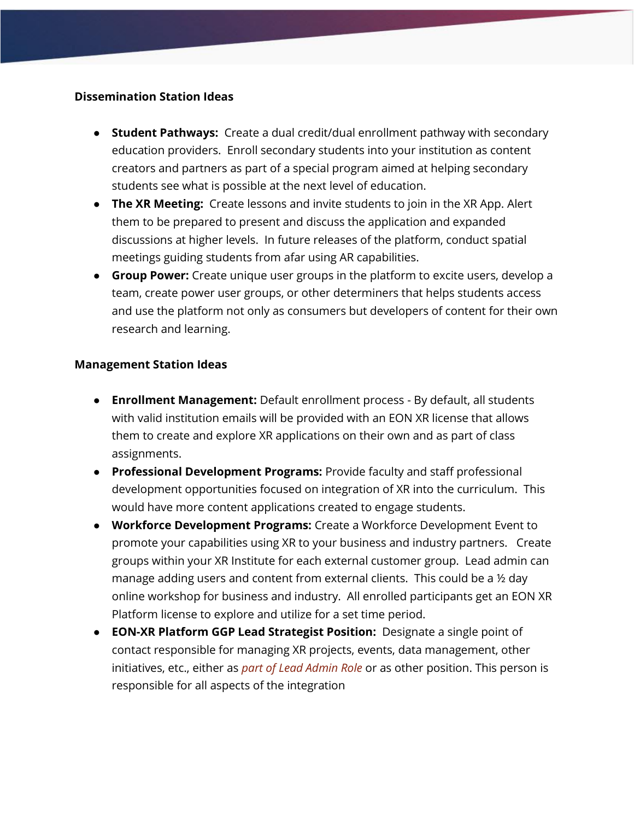#### **Dissemination Station Ideas**

- **Student Pathways:** Create a dual credit/dual enrollment pathway with secondary education providers. Enroll secondary students into your institution as content creators and partners as part of a special program aimed at helping secondary students see what is possible at the next level of education.
- **The XR Meeting:** Create lessons and invite students to join in the XR App. Alert them to be prepared to present and discuss the application and expanded discussions at higher levels. In future releases of the platform, conduct spatial meetings guiding students from afar using AR capabilities.
- **Group Power:** Create unique user groups in the platform to excite users, develop a team, create power user groups, or other determiners that helps students access and use the platform not only as consumers but developers of content for their own research and learning.

#### **Management Station Ideas**

- **Enrollment Management:** Default enrollment process By default, all students with valid institution emails will be provided with an EON XR license that allows them to create and explore XR applications on their own and as part of class assignments.
- **Professional Development Programs:** Provide faculty and staff professional development opportunities focused on integration of XR into the curriculum. This would have more content applications created to engage students.
- **Workforce Development Programs:** Create a Workforce Development Event to promote your capabilities using XR to your business and industry partners. Create groups within your XR Institute for each external customer group. Lead admin can manage adding users and content from external clients. This could be a ½ day online workshop for business and industry. All enrolled participants get an EON XR Platform license to explore and utilize for a set time period.
- **EON-XR Platform GGP Lead Strategist Position:** Designate a single point of contact responsible for managing XR projects, events, data management, other initiatives, etc., either as *part of Lead Admin Role* or as other position. This person is responsible for all aspects of the integration